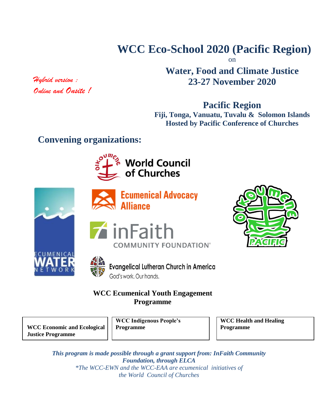# **WCC Eco-School 2020 (Pacific Region)**

on

## **Water, Food and Climate Justice 23-27 November 2020**

**Pacific Region**

**Fiji, Tonga, Vanuatu, Tuvalu & Solomon Islands Hosted by Pacific Conference of Churches**

## **Convening organizations:**







**Ecumenical Advocacy Alliance** 







**Evangelical Lutheran Church in America** God's work. Our hands.

## **WCC Ecumenical Youth Engagement Programme**

**WCC Economic and Ecological Justice Programme**

**WCC Indigenous People's Programme**

**WCC Health and Healing Programme**

*This program is made possible through a grant support from: InFaith Community Foundation, through ELCA \*The WCC-EWN and the WCC-EAA are ecumenical initiatives of the World Council of Churches*

*Hybrid version : Online and Onsite !*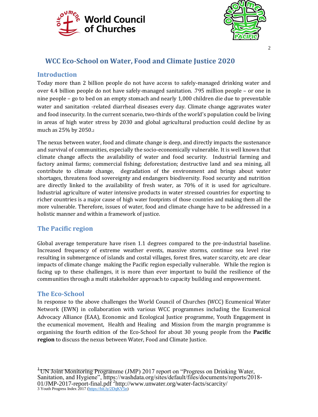



#### $\overline{2}$

## **WCC Eco-School on Water, Food and Climate Justice 2020**

#### **Introduction**

Today more than 2 billion people do not have access to safely-managed drinking water and over 4.4 billion people do not have safely-managed sanitation. 1795 million people – or one in nine people – go to bed on an empty stomach and nearly 1,000 children die due to preventable water and sanitation -related diarrheal diseases every day. Climate change aggravates water and food insecurity. In the current scenario, two-thirds of the world's population could be living in areas of high water stress by 2030 and global agricultural production could decline by as much as 25% by 2050.<sup>2</sup>

The nexus between water, food and climate change is deep, and directly impacts the sustenance and survival of communities, especially the socio-economically vulnerable. It is well known that climate change affects the availability of water and food security. Industrial farming and factory animal farms; commercial fishing; deforestation; destructive land and sea mining, all contribute to climate change, degradation of the environment and brings about water shortages, threatens food sovereignty and endangers biodiversity. Food security and nutrition are directly linked to the availability of fresh water, as 70% of it is used for agriculture. Industrial agriculture of water intensive products in water stressed countries for exporting to richer countries is a major cause of high water footprints of those countries and making them all the more vulnerable. Therefore, issues of water, food and climate change have to be addressed in a holistic manner and within a framework of justice.

### **The Pacific region**

Global average temperature have risen 1.1 degrees compared to the pre-industrial baseline. Increased frequency of extreme weather events, massive storms, continue sea level rise resulting in submergence of islands and costal villages, forest fires, water scarcity, etc are clear impacts of climate change making the Pacific region especially vulnerable. While the region is facing up to these challenges, it is more than ever important to build the resilience of the communities through a multi stakeholder approach to capacity building and empowerment.

#### **The Eco-School**

In response to the above challenges the World Council of Churches (WCC) Ecumenical Water Network (EWN) in collaboration with various WCC programmes including the Ecumenical Advocacy Alliance (EAA), Economic and Ecological Justice programme, Youth Engagement in the ecumenical movement, Health and Healing and Mission from the margin programme is organising the fourth edition of the Eco-School for about 30 young people from the **Pacific region** to discuss the nexus between Water, Food and Climate Justice.

<sup>1</sup>UN Joint Monitoring Programme (JMP) 2017 report on "Progress on Drinking Water, Sanitation, and Hygiene", https://washdata.org/sites/default/files/documents/reports/2018- 01/JMP-2017-report-final.pdf<sup>2</sup>http://www.unwater.org/water-facts/scarcity/<br>3 Youth Progress Index 2017 [\(https://bit.ly/2DqKV5n\)](https://bit.ly/2DqKV5n)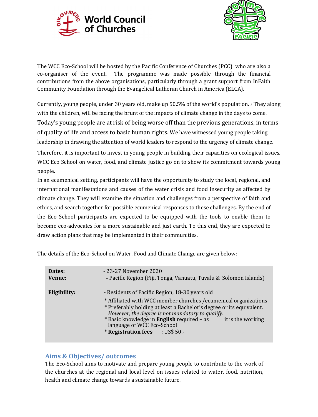



The WCC Eco-School will be hosted by the Pacific Conference of Churches (PCC) who are also a co-organiser of the event. The programme was made possible through the financial contributions from the above organisations, particularly through a grant support from InFaith Community Foundation through the Evangelical Lutheran Church in America (ELCA).

Currently, young people, under 30 years old, make up 50.5% of the world's population. <sup>3</sup> They along with the children, will be facing the brunt of the impacts of climate change in the days to come. Today's young people are at risk of being worse off than the previous generations, in terms of quality of life and access to basic human rights. We have witnessed young people taking leadership in drawing the attention of world leaders to respond to the urgency of climate change.

Therefore, it is important to invest in young people in building their capacities on ecological issues. WCC Eco School on water, food, and climate justice go on to show its commitment towards young people.

In an ecumenical setting, participants will have the opportunity to study the local, regional, and international manifestations and causes of the water crisis and food insecurity as affected by climate change. They will examine the situation and challenges from a perspective of faith and ethics, and search together for possible ecumenical responses to these challenges. By the end of the Eco School participants are expected to be equipped with the tools to enable them to become eco-advocates for a more sustainable and just earth. To this end, they are expected to draw action plans that may be implemented in their communities.

The details of the Eco-School on Water, Food and Climate Change are given below:

| Dates:       | - 23-27 November 2020                                                                                                                                                                                                                                                                                                                                                              |
|--------------|------------------------------------------------------------------------------------------------------------------------------------------------------------------------------------------------------------------------------------------------------------------------------------------------------------------------------------------------------------------------------------|
| Venue:       | - Pacific Region (Fiji, Tonga, Vanuatu, Tuvalu & Solomon Islands)                                                                                                                                                                                                                                                                                                                  |
| Eligibility: | - Residents of Pacific Region, 18-30 years old<br>* Affiliated with WCC member churches / ecumenical organizations<br>* Preferably holding at least a Bachelor's degree or its equivalent.<br>However, the degree is not mandatory to qualify.<br>* Basic knowledge in English required - as<br>it is the working<br>language of WCC Eco-School<br>* Registration fees : US\$ 50.- |

#### **Aims & Objectives/ outcomes**

The Eco-School aims to motivate and prepare young people to contribute to the work of the churches at the regional and local level on issues related to water, food, nutrition, health and climate change towards a sustainable future.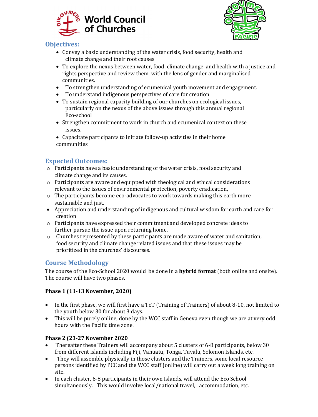



### **Objectives:**

- Convey a basic understanding of the water crisis, food security, health and climate change and their root causes
- To explore the nexus between water, food, climate change and health with a justice and rights perspective and review them with the lens of gender and marginalised communities.
- To strengthen understanding of ecumenical youth movement and engagement.
- To understand indigenous perspectives of care for creation
- To sustain regional capacity building of our churches on ecological issues, particularly on the nexus of the above issues through this annual regional Eco-school
- Strengthen commitment to work in church and ecumenical context on these issues.
- Capacitate participants to initiate follow-up activities in their home communities

## **Expected Outcomes:**

- $\circ$  Participants have a basic understanding of the water crisis, food security and climate change and its causes.
- o Participants are aware and equipped with theological and ethical considerations relevant to the issues of environmental protection, poverty eradication,
- $\circ$  The participants become eco-advocates to work towards making this earth more sustainable and just.
- Appreciation and understanding of indigenous and cultural wisdom for earth and care for creation
- o Participants have expressed their commitment and developed concrete ideas to further pursue the issue upon returning home.
- o Churches represented by these participants are made aware of water and sanitation, food security and climate change related issues and that these issues may be prioritized in the churches' discourses.

## **Course Methodology**

The course of the Eco-School 2020 would be done in a **hybrid format** (both online and onsite). The course will have two phases.

### **Phase 1 (11-13 November, 2020)**

- In the first phase, we will first have a ToT (Training of Trainers) of about 8-10, not limited to the youth below 30 for about 3 days.
- This will be purely online, done by the WCC staff in Geneva even though we are at very odd hours with the Pacific time zone.

#### **Phase 2 (23-27 November 2020**

- Thereafter these Trainers will accompany about 5 clusters of 6-8 participants, below 30 from different islands including Fiji, Vanuatu, Tonga, Tuvalu, Solomon Islands, etc.
- They will assemble physically in those clusters and the Trainers, some local resource persons identified by PCC and the WCC staff (online) will carry out a week long training on site.
- In each cluster, 6-8 participants in their own Islands, will attend the Eco School simultaneously. This would involve local/national travel, accommodation, etc.